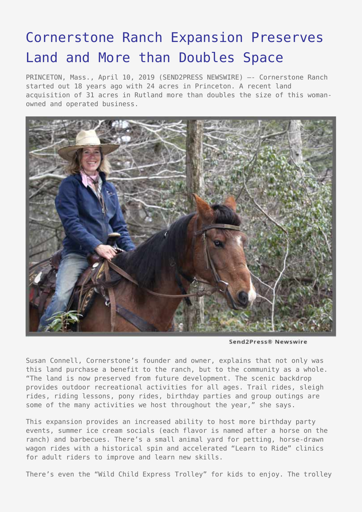## [Cornerstone Ranch Expansion Preserves](https://www.send2press.com/wire/cornerstone-ranch-expansion-preserves-land-and-more-than-doubles-space/) [Land and More than Doubles Space](https://www.send2press.com/wire/cornerstone-ranch-expansion-preserves-land-and-more-than-doubles-space/)

PRINCETON, Mass., April 10, 2019 (SEND2PRESS NEWSWIRE) –- Cornerstone Ranch started out 18 years ago with 24 acres in Princeton. A recent land acquisition of 31 acres in Rutland more than doubles the size of this womanowned and operated business.



Send2Press® Newswire

Susan Connell, Cornerstone's founder and owner, explains that not only was this land purchase a benefit to the ranch, but to the community as a whole. "The land is now preserved from future development. The scenic backdrop provides outdoor recreational activities for all ages. Trail rides, sleigh rides, riding lessons, pony rides, birthday parties and group outings are some of the many activities we host throughout the year," she says.

This expansion provides an increased ability to host more birthday party events, summer ice cream socials (each flavor is named after a horse on the ranch) and barbecues. There's a small animal yard for petting, horse-drawn wagon rides with a historical spin and accelerated "Learn to Ride" clinics for adult riders to improve and learn new skills.

There's even the "Wild Child Express Trolley" for kids to enjoy. The trolley